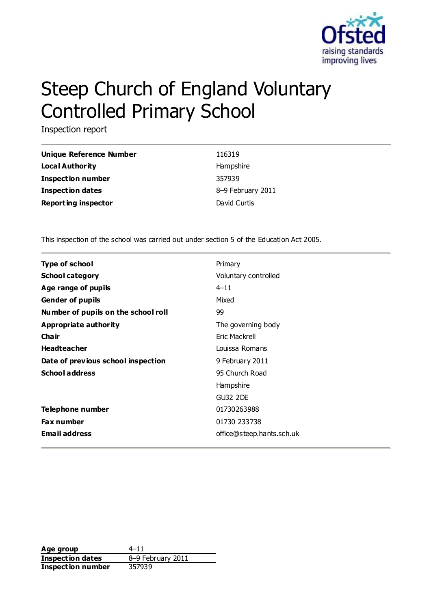

# Steep Church of England Voluntary Controlled Primary School

Inspection report

| Unique Reference Number    | 116319            |
|----------------------------|-------------------|
| Local Authority            | Hampshire         |
| <b>Inspection number</b>   | 357939            |
| <b>Inspection dates</b>    | 8-9 February 2011 |
| <b>Reporting inspector</b> | David Curtis      |

This inspection of the school was carried out under section 5 of the Education Act 2005.

| <b>Type of school</b>               | Primary                   |
|-------------------------------------|---------------------------|
| <b>School category</b>              | Voluntary controlled      |
| Age range of pupils                 | $4 - 11$                  |
| <b>Gender of pupils</b>             | Mixed                     |
| Number of pupils on the school roll | 99                        |
| Appropriate authority               | The governing body        |
| Cha ir                              | <b>Fric Mackrell</b>      |
| <b>Headteacher</b>                  | Louissa Romans            |
| Date of previous school inspection  | 9 February 2011           |
| <b>School address</b>               | 95 Church Road            |
|                                     | Hampshire                 |
|                                     | <b>GU32 2DE</b>           |
| Telephone number                    | 01730263988               |
| <b>Fax number</b>                   | 01730 233738              |
| <b>Email address</b>                | office@steep.hants.sch.uk |

**Age group** 4–11 **Inspection dates** 8–9 February 2011 **Inspection number** 357939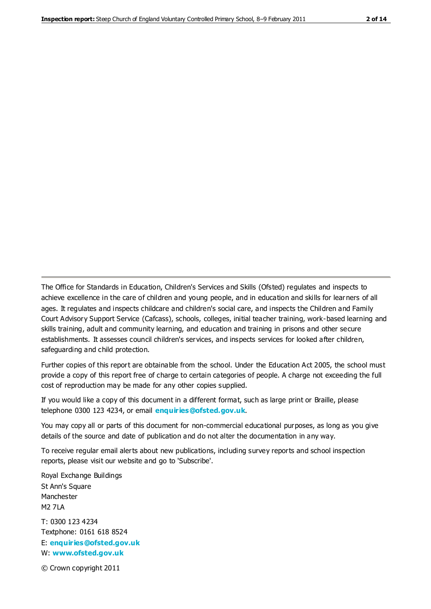The Office for Standards in Education, Children's Services and Skills (Ofsted) regulates and inspects to achieve excellence in the care of children and young people, and in education and skills for learners of all ages. It regulates and inspects childcare and children's social care, and inspects the Children and Family Court Advisory Support Service (Cafcass), schools, colleges, initial teacher training, work-based learning and skills training, adult and community learning, and education and training in prisons and other secure establishments. It assesses council children's services, and inspects services for looked after children, safeguarding and child protection.

Further copies of this report are obtainable from the school. Under the Education Act 2005, the school must provide a copy of this report free of charge to certain categories of people. A charge not exceeding the full cost of reproduction may be made for any other copies supplied.

If you would like a copy of this document in a different format, such as large print or Braille, please telephone 0300 123 4234, or email **[enquiries@ofsted.gov.uk](mailto:enquiries@ofsted.gov.uk)**.

You may copy all or parts of this document for non-commercial educational purposes, as long as you give details of the source and date of publication and do not alter the documentation in any way.

To receive regular email alerts about new publications, including survey reports and school inspection reports, please visit our website and go to 'Subscribe'.

Royal Exchange Buildings St Ann's Square Manchester M2 7LA T: 0300 123 4234 Textphone: 0161 618 8524 E: **[enquiries@ofsted.gov.uk](mailto:enquiries@ofsted.gov.uk)**

W: **[www.ofsted.gov.uk](http://www.ofsted.gov.uk/)**

© Crown copyright 2011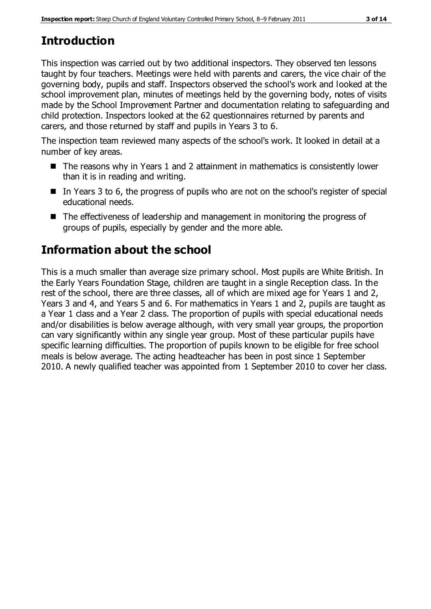# **Introduction**

This inspection was carried out by two additional inspectors. They observed ten lessons taught by four teachers. Meetings were held with parents and carers, the vice chair of the governing body, pupils and staff. Inspectors observed the school's work and looked at the school improvement plan, minutes of meetings held by the governing body, notes of visits made by the School Improvement Partner and documentation relating to safeguarding and child protection. Inspectors looked at the 62 questionnaires returned by parents and carers, and those returned by staff and pupils in Years 3 to 6.

The inspection team reviewed many aspects of the school's work. It looked in detail at a number of key areas.

- $\blacksquare$  The reasons why in Years 1 and 2 attainment in mathematics is consistently lower than it is in reading and writing.
- In Years 3 to 6, the progress of pupils who are not on the school's register of special educational needs.
- The effectiveness of leadership and management in monitoring the progress of groups of pupils, especially by gender and the more able.

# **Information about the school**

This is a much smaller than average size primary school. Most pupils are White British. In the Early Years Foundation Stage, children are taught in a single Reception class. In the rest of the school, there are three classes, all of which are mixed age for Years 1 and 2, Years 3 and 4, and Years 5 and 6. For mathematics in Years 1 and 2, pupils are taught as a Year 1 class and a Year 2 class. The proportion of pupils with special educational needs and/or disabilities is below average although, with very small year groups, the proportion can vary significantly within any single year group. Most of these particular pupils have specific learning difficulties. The proportion of pupils known to be eligible for free school meals is below average. The acting headteacher has been in post since 1 September 2010. A newly qualified teacher was appointed from 1 September 2010 to cover her class.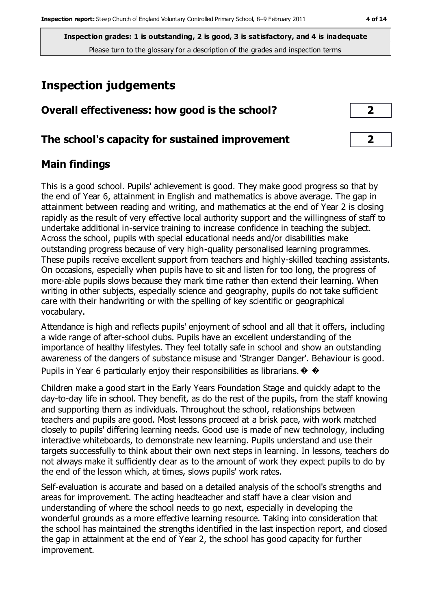**Inspection grades: 1 is outstanding, 2 is good, 3 is satisfactory, and 4 is inadequate** Please turn to the glossary for a description of the grades and inspection terms

# **Inspection judgements**

| Overall effectiveness: how good is the school?  |   |  |
|-------------------------------------------------|---|--|
| The school's capacity for sustained improvement | ∍ |  |

## **Main findings**

This is a good school. Pupils' achievement is good. They make good progress so that by the end of Year 6, attainment in English and mathematics is above average. The gap in attainment between reading and writing, and mathematics at the end of Year 2 is closing rapidly as the result of very effective local authority support and the willingness of staff to undertake additional in-service training to increase confidence in teaching the subject. Across the school, pupils with special educational needs and/or disabilities make outstanding progress because of very high-quality personalised learning programmes. These pupils receive excellent support from teachers and highly-skilled teaching assistants. On occasions, especially when pupils have to sit and listen for too long, the progress of more-able pupils slows because they mark time rather than extend their learning. When writing in other subjects, especially science and geography, pupils do not take sufficient care with their handwriting or with the spelling of key scientific or geographical vocabulary.

Attendance is high and reflects pupils' enjoyment of school and all that it offers, including a wide range of after-school clubs. Pupils have an excellent understanding of the importance of healthy lifestyles. They feel totally safe in school and show an outstanding awareness of the dangers of substance misuse and 'Stranger Danger'. Behaviour is good. Pupils in Year 6 particularly enjoy their responsibilities as librarians.  $\diamondsuit \diamondsuit$ 

Children make a good start in the Early Years Foundation Stage and quickly adapt to the day-to-day life in school. They benefit, as do the rest of the pupils, from the staff knowing and supporting them as individuals. Throughout the school, relationships between teachers and pupils are good. Most lessons proceed at a brisk pace, with work matched closely to pupils' differing learning needs. Good use is made of new technology, including interactive whiteboards, to demonstrate new learning. Pupils understand and use their targets successfully to think about their own next steps in learning. In lessons, teachers do not always make it sufficiently clear as to the amount of work they expect pupils to do by the end of the lesson which, at times, slows pupils' work rates.

Self-evaluation is accurate and based on a detailed analysis of the school's strengths and areas for improvement. The acting headteacher and staff have a clear vision and understanding of where the school needs to go next, especially in developing the wonderful grounds as a more effective learning resource. Taking into consideration that the school has maintained the strengths identified in the last inspection report, and closed the gap in attainment at the end of Year 2, the school has good capacity for further improvement.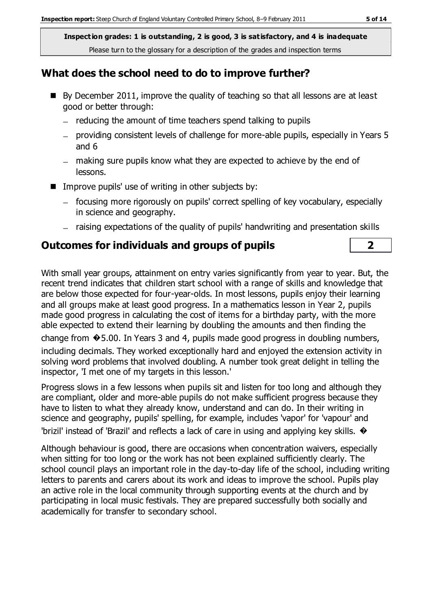**Inspection grades: 1 is outstanding, 2 is good, 3 is satisfactory, and 4 is inadequate** Please turn to the glossary for a description of the grades and inspection terms

#### **What does the school need to do to improve further?**

- $\blacksquare$  By December 2011, improve the quality of teaching so that all lessons are at least good or better through:
	- $-$  reducing the amount of time teachers spend talking to pupils
	- providing consistent levels of challenge for more-able pupils, especially in Years 5 and 6
	- making sure pupils know what they are expected to achieve by the end of lessons.
- $\blacksquare$  Improve pupils' use of writing in other subjects by:
	- focusing more rigorously on pupils' correct spelling of key vocabulary, especially in science and geography.
	- raising expectations of the quality of pupils' handwriting and presentation skills

## **Outcomes for individuals and groups of pupils 2**

With small year groups, attainment on entry varies significantly from year to year. But, the recent trend indicates that children start school with a range of skills and knowledge that are below those expected for four-year-olds. In most lessons, pupils enjoy their learning and all groups make at least good progress. In a mathematics lesson in Year 2, pupils made good progress in calculating the cost of items for a birthday party, with the more able expected to extend their learning by doubling the amounts and then finding the change from �5.00. In Years 3 and 4, pupils made good progress in doubling numbers, including decimals. They worked exceptionally hard and enjoyed the extension activity in solving word problems that involved doubling. A number took great delight in telling the inspector, 'I met one of my targets in this lesson.'

Progress slows in a few lessons when pupils sit and listen for too long and although they are compliant, older and more-able pupils do not make sufficient progress because they have to listen to what they already know, understand and can do. In their writing in science and geography, pupils' spelling, for example, includes 'vapor' for 'vapour' and 'brizil' instead of 'Brazil' and reflects a lack of care in using and applying key skills.  $\bullet$ 

Although behaviour is good, there are occasions when concentration waivers, especially when sitting for too long or the work has not been explained sufficiently clearly. The school council plays an important role in the day-to-day life of the school, including writing letters to parents and carers about its work and ideas to improve the school. Pupils play an active role in the local community through supporting events at the church and by participating in local music festivals. They are prepared successfully both socially and academically for transfer to secondary school.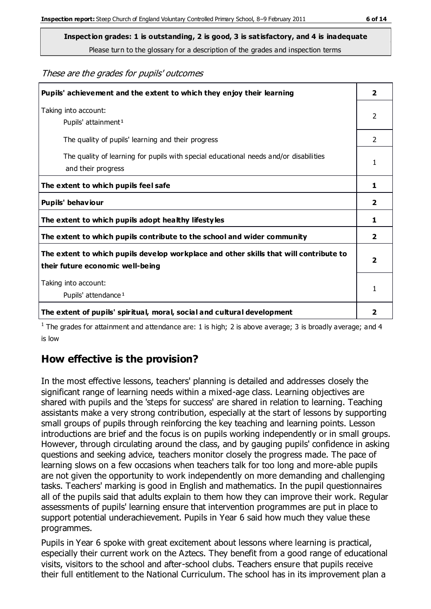**Inspection grades: 1 is outstanding, 2 is good, 3 is satisfactory, and 4 is inadequate**

Please turn to the glossary for a description of the grades and inspection terms

These are the grades for pupils' outcomes

| Pupils' achievement and the extent to which they enjoy their learning                                                     | $\overline{2}$ |
|---------------------------------------------------------------------------------------------------------------------------|----------------|
| Taking into account:<br>Pupils' attainment <sup>1</sup>                                                                   | $\overline{2}$ |
| The quality of pupils' learning and their progress                                                                        | $\mathcal{P}$  |
| The quality of learning for pupils with special educational needs and/or disabilities<br>and their progress               | 1              |
| The extent to which pupils feel safe                                                                                      | 1              |
| Pupils' behaviour                                                                                                         | 2              |
| The extent to which pupils adopt healthy lifestyles                                                                       | 1              |
| The extent to which pupils contribute to the school and wider community                                                   | $\overline{2}$ |
| The extent to which pupils develop workplace and other skills that will contribute to<br>their future economic well-being | $\overline{2}$ |
| Taking into account:<br>Pupils' attendance <sup>1</sup>                                                                   | 1              |
| The extent of pupils' spiritual, moral, social and cultural development                                                   | 2              |

<sup>1</sup> The grades for attainment and attendance are: 1 is high; 2 is above average; 3 is broadly average; and 4 is low

## **How effective is the provision?**

In the most effective lessons, teachers' planning is detailed and addresses closely the significant range of learning needs within a mixed-age class. Learning objectives are shared with pupils and the 'steps for success' are shared in relation to learning. Teaching assistants make a very strong contribution, especially at the start of lessons by supporting small groups of pupils through reinforcing the key teaching and learning points. Lesson introductions are brief and the focus is on pupils working independently or in small groups. However, through circulating around the class, and by gauging pupils' confidence in asking questions and seeking advice, teachers monitor closely the progress made. The pace of learning slows on a few occasions when teachers talk for too long and more-able pupils are not given the opportunity to work independently on more demanding and challenging tasks. Teachers' marking is good in English and mathematics. In the pupil questionnaires all of the pupils said that adults explain to them how they can improve their work. Regular assessments of pupils' learning ensure that intervention programmes are put in place to support potential underachievement. Pupils in Year 6 said how much they value these programmes.

Pupils in Year 6 spoke with great excitement about lessons where learning is practical, especially their current work on the Aztecs. They benefit from a good range of educational visits, visitors to the school and after-school clubs. Teachers ensure that pupils receive their full entitlement to the National Curriculum. The school has in its improvement plan a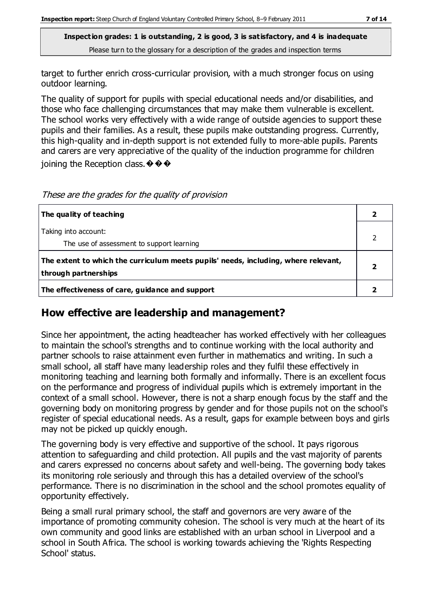**Inspection grades: 1 is outstanding, 2 is good, 3 is satisfactory, and 4 is inadequate** Please turn to the glossary for a description of the grades and inspection terms

target to further enrich cross-curricular provision, with a much stronger focus on using outdoor learning.

The quality of support for pupils with special educational needs and/or disabilities, and those who face challenging circumstances that may make them vulnerable is excellent. The school works very effectively with a wide range of outside agencies to support these pupils and their families. As a result, these pupils make outstanding progress. Currently, this high-quality and in-depth support is not extended fully to more-able pupils. Parents and carers are very appreciative of the quality of the induction programme for children ioining the Reception class.  $\mathbf{\hat{\Phi}} \mathbf{\hat{\Phi}} \mathbf{\hat{\Phi}}$ 

These are the grades for the quality of provision

| The quality of teaching                                                                                    |  |
|------------------------------------------------------------------------------------------------------------|--|
| Taking into account:<br>The use of assessment to support learning                                          |  |
| The extent to which the curriculum meets pupils' needs, including, where relevant,<br>through partnerships |  |
| The effectiveness of care, guidance and support                                                            |  |

#### **How effective are leadership and management?**

Since her appointment, the acting headteacher has worked effectively with her colleagues to maintain the school's strengths and to continue working with the local authority and partner schools to raise attainment even further in mathematics and writing. In such a small school, all staff have many leadership roles and they fulfil these effectively in monitoring teaching and learning both formally and informally. There is an excellent focus on the performance and progress of individual pupils which is extremely important in the context of a small school. However, there is not a sharp enough focus by the staff and the governing body on monitoring progress by gender and for those pupils not on the school's register of special educational needs. As a result, gaps for example between boys and girls may not be picked up quickly enough.

The governing body is very effective and supportive of the school. It pays rigorous attention to safeguarding and child protection. All pupils and the vast majority of parents and carers expressed no concerns about safety and well-being. The governing body takes its monitoring role seriously and through this has a detailed overview of the school's performance. There is no discrimination in the school and the school promotes equality of opportunity effectively.

Being a small rural primary school, the staff and governors are very aware of the importance of promoting community cohesion. The school is very much at the heart of its own community and good links are established with an urban school in Liverpool and a school in South Africa. The school is working towards achieving the 'Rights Respecting School' status.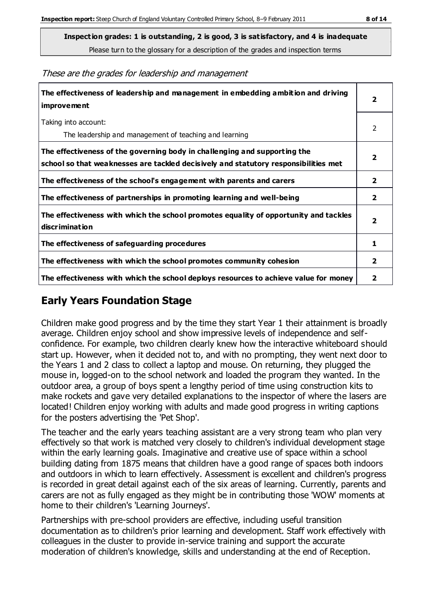**Inspection grades: 1 is outstanding, 2 is good, 3 is satisfactory, and 4 is inadequate**

Please turn to the glossary for a description of the grades and inspection terms

These are the grades for leadership and management

| The effectiveness of leadership and management in embedding ambition and driving<br>improvement                                                                  |                         |
|------------------------------------------------------------------------------------------------------------------------------------------------------------------|-------------------------|
| Taking into account:<br>The leadership and management of teaching and learning                                                                                   | 2                       |
| The effectiveness of the governing body in challenging and supporting the<br>school so that weaknesses are tackled decisively and statutory responsibilities met | $\overline{2}$          |
| The effectiveness of the school's engagement with parents and carers                                                                                             | $\mathbf{2}$            |
| The effectiveness of partnerships in promoting learning and well-being                                                                                           | $\overline{2}$          |
| The effectiveness with which the school promotes equality of opportunity and tackles<br>discrimination                                                           | $\overline{\mathbf{2}}$ |
| The effectiveness of safeguarding procedures                                                                                                                     | 1                       |
| The effectiveness with which the school promotes community cohesion                                                                                              |                         |
| The effectiveness with which the school deploys resources to achieve value for money                                                                             | 2                       |

## **Early Years Foundation Stage**

Children make good progress and by the time they start Year 1 their attainment is broadly average. Children enjoy school and show impressive levels of independence and selfconfidence. For example, two children clearly knew how the interactive whiteboard should start up. However, when it decided not to, and with no prompting, they went next door to the Years 1 and 2 class to collect a laptop and mouse. On returning, they plugged the mouse in, logged-on to the school network and loaded the program they wanted. In the outdoor area, a group of boys spent a lengthy period of time using construction kits to make rockets and gave very detailed explanations to the inspector of where the lasers are located! Children enjoy working with adults and made good progress in writing captions for the posters advertising the 'Pet Shop'.

The teacher and the early years teaching assistant are a very strong team who plan very effectively so that work is matched very closely to children's individual development stage within the early learning goals. Imaginative and creative use of space within a school building dating from 1875 means that children have a good range of spaces both indoors and outdoors in which to learn effectively. Assessment is excellent and children's progress is recorded in great detail against each of the six areas of learning. Currently, parents and carers are not as fully engaged as they might be in contributing those 'WOW' moments at home to their children's 'Learning Journeys'.

Partnerships with pre-school providers are effective, including useful transition documentation as to children's prior learning and development. Staff work effectively with colleagues in the cluster to provide in-service training and support the accurate moderation of children's knowledge, skills and understanding at the end of Reception.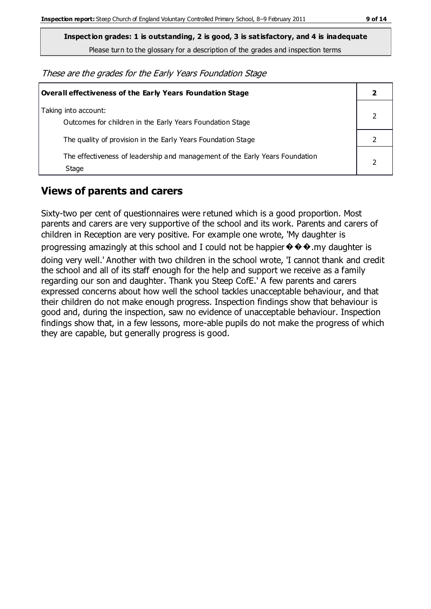**Inspection grades: 1 is outstanding, 2 is good, 3 is satisfactory, and 4 is inadequate**

Please turn to the glossary for a description of the grades and inspection terms

These are the grades for the Early Years Foundation Stage

| Overall effectiveness of the Early Years Foundation Stage                             |  |
|---------------------------------------------------------------------------------------|--|
| Taking into account:<br>Outcomes for children in the Early Years Foundation Stage     |  |
| The quality of provision in the Early Years Foundation Stage                          |  |
| The effectiveness of leadership and management of the Early Years Foundation<br>Stage |  |

#### **Views of parents and carers**

Sixty-two per cent of questionnaires were retuned which is a good proportion. Most parents and carers are very supportive of the school and its work. Parents and carers of children in Reception are very positive. For example one wrote, 'My daughter is progressing amazingly at this school and I could not be happier  $\Diamond \Diamond \Diamond$ .my daughter is doing very well.' Another with two children in the school wrote, 'I cannot thank and credit the school and all of its staff enough for the help and support we receive as a family regarding our son and daughter. Thank you Steep CofE.' A few parents and carers expressed concerns about how well the school tackles unacceptable behaviour, and that their children do not make enough progress. Inspection findings show that behaviour is good and, during the inspection, saw no evidence of unacceptable behaviour. Inspection findings show that, in a few lessons, more-able pupils do not make the progress of which they are capable, but generally progress is good.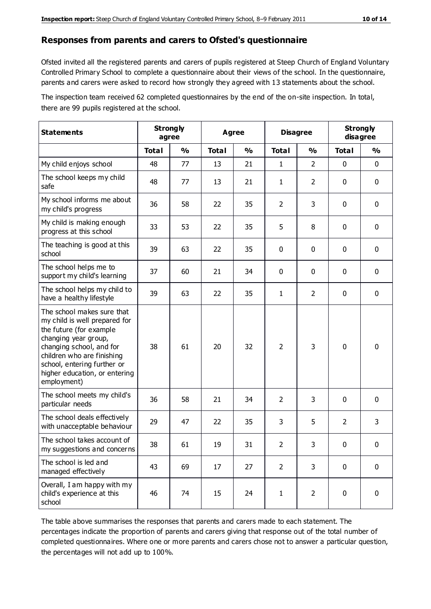#### **Responses from parents and carers to Ofsted's questionnaire**

Ofsted invited all the registered parents and carers of pupils registered at Steep Church of England Voluntary Controlled Primary School to complete a questionnaire about their views of the school. In the questionnaire, parents and carers were asked to record how strongly they agreed with 13 statements about the school.

The inspection team received 62 completed questionnaires by the end of the on-site inspection. In total, there are 99 pupils registered at the school.

| <b>Statements</b>                                                                                                                                                                                                                                       | <b>Strongly</b><br>agree |               | Agree        |               | <b>Disagree</b> |                | <b>Strongly</b><br>disagree |             |
|---------------------------------------------------------------------------------------------------------------------------------------------------------------------------------------------------------------------------------------------------------|--------------------------|---------------|--------------|---------------|-----------------|----------------|-----------------------------|-------------|
|                                                                                                                                                                                                                                                         | <b>Total</b>             | $\frac{1}{2}$ | <b>Total</b> | $\frac{0}{0}$ | <b>Total</b>    | $\frac{1}{2}$  | <b>Total</b>                | %           |
| My child enjoys school                                                                                                                                                                                                                                  | 48                       | 77            | 13           | 21            | 1               | $\overline{2}$ | $\mathbf 0$                 | $\mathbf 0$ |
| The school keeps my child<br>safe                                                                                                                                                                                                                       | 48                       | 77            | 13           | 21            | 1               | $\overline{2}$ | 0                           | $\mathbf 0$ |
| My school informs me about<br>my child's progress                                                                                                                                                                                                       | 36                       | 58            | 22           | 35            | $\overline{2}$  | 3              | $\mathbf 0$                 | $\mathbf 0$ |
| My child is making enough<br>progress at this school                                                                                                                                                                                                    | 33                       | 53            | 22           | 35            | 5               | 8              | $\mathbf 0$                 | $\mathbf 0$ |
| The teaching is good at this<br>school                                                                                                                                                                                                                  | 39                       | 63            | 22           | 35            | 0               | 0              | $\mathbf 0$                 | $\mathbf 0$ |
| The school helps me to<br>support my child's learning                                                                                                                                                                                                   | 37                       | 60            | 21           | 34            | 0               | 0              | $\mathbf 0$                 | $\mathbf 0$ |
| The school helps my child to<br>have a healthy lifestyle                                                                                                                                                                                                | 39                       | 63            | 22           | 35            | 1               | $\overline{2}$ | $\mathbf 0$                 | $\mathbf 0$ |
| The school makes sure that<br>my child is well prepared for<br>the future (for example<br>changing year group,<br>changing school, and for<br>children who are finishing<br>school, entering further or<br>higher education, or entering<br>employment) | 38                       | 61            | 20           | 32            | $\overline{2}$  | 3              | $\mathbf 0$                 | $\mathbf 0$ |
| The school meets my child's<br>particular needs                                                                                                                                                                                                         | 36                       | 58            | 21           | 34            | $\overline{2}$  | 3              | $\mathbf 0$                 | $\mathbf 0$ |
| The school deals effectively<br>with unacceptable behaviour                                                                                                                                                                                             | 29                       | 47            | 22           | 35            | 3               | 5              | $\overline{2}$              | 3           |
| The school takes account of<br>my suggestions and concerns                                                                                                                                                                                              | 38                       | 61            | 19           | 31            | $\overline{2}$  | 3              | 0                           | 0           |
| The school is led and<br>managed effectively                                                                                                                                                                                                            | 43                       | 69            | 17           | 27            | $\overline{2}$  | 3              | $\mathbf 0$                 | $\mathbf 0$ |
| Overall, I am happy with my<br>child's experience at this<br>school                                                                                                                                                                                     | 46                       | 74            | 15           | 24            | $\mathbf{1}$    | $\overline{2}$ | $\mathbf 0$                 | $\mathbf 0$ |

The table above summarises the responses that parents and carers made to each statement. The percentages indicate the proportion of parents and carers giving that response out of the total number of completed questionnaires. Where one or more parents and carers chose not to answer a particular question, the percentages will not add up to 100%.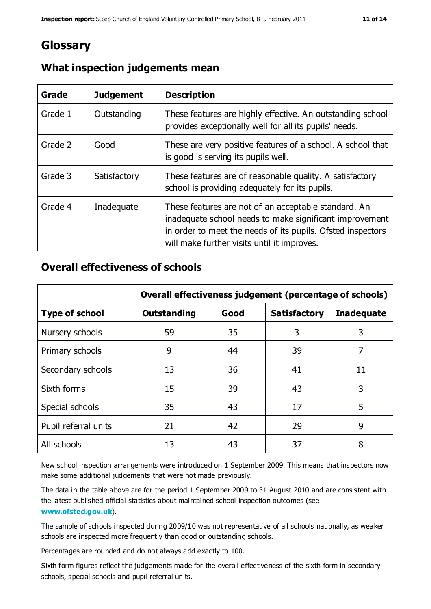## **Glossary**

| Grade   | <b>Judgement</b> | <b>Description</b>                                                                                                                                                                                                            |
|---------|------------------|-------------------------------------------------------------------------------------------------------------------------------------------------------------------------------------------------------------------------------|
| Grade 1 | Outstanding      | These features are highly effective. An outstanding school<br>provides exceptionally well for all its pupils' needs.                                                                                                          |
| Grade 2 | Good             | These are very positive features of a school. A school that<br>is good is serving its pupils well.                                                                                                                            |
| Grade 3 | Satisfactory     | These features are of reasonable quality. A satisfactory<br>school is providing adequately for its pupils.                                                                                                                    |
| Grade 4 | Inadequate       | These features are not of an acceptable standard. An<br>inadequate school needs to make significant improvement<br>in order to meet the needs of its pupils. Ofsted inspectors<br>will make further visits until it improves. |

#### **What inspection judgements mean**

#### **Overall effectiveness of schools**

|                       | Overall effectiveness judgement (percentage of schools) |      |                     |                   |
|-----------------------|---------------------------------------------------------|------|---------------------|-------------------|
| <b>Type of school</b> | <b>Outstanding</b>                                      | Good | <b>Satisfactory</b> | <b>Inadequate</b> |
| Nursery schools       | 59                                                      | 35   | 3                   | 3                 |
| Primary schools       | 9                                                       | 44   | 39                  | 7                 |
| Secondary schools     | 13                                                      | 36   | 41                  | 11                |
| Sixth forms           | 15                                                      | 39   | 43                  | 3                 |
| Special schools       | 35                                                      | 43   | 17                  | 5                 |
| Pupil referral units  | 21                                                      | 42   | 29                  | 9                 |
| All schools           | 13                                                      | 43   | 37                  | 8                 |

New school inspection arrangements were introduced on 1 September 2009. This means that inspectors now make some additional judgements that were not made previously.

The data in the table above are for the period 1 September 2009 to 31 August 2010 and are consistent with the latest published official statistics about maintained school inspection outcomes (see **[www.ofsted.gov.uk](http://www.ofsted.gov.uk/)**).

The sample of schools inspected during 2009/10 was not representative of all schools nationally, as weaker schools are inspected more frequently than good or outstanding schools.

Percentages are rounded and do not always add exactly to 100.

Sixth form figures reflect the judgements made for the overall effectiveness of the sixth form in secondary schools, special schools and pupil referral units.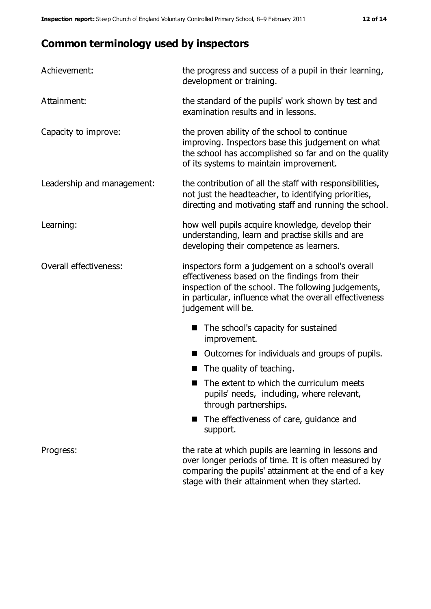## **Common terminology used by inspectors**

| Achievement:               | the progress and success of a pupil in their learning,<br>development or training.                                                                                                                                                          |  |  |
|----------------------------|---------------------------------------------------------------------------------------------------------------------------------------------------------------------------------------------------------------------------------------------|--|--|
| Attainment:                | the standard of the pupils' work shown by test and<br>examination results and in lessons.                                                                                                                                                   |  |  |
| Capacity to improve:       | the proven ability of the school to continue<br>improving. Inspectors base this judgement on what<br>the school has accomplished so far and on the quality<br>of its systems to maintain improvement.                                       |  |  |
| Leadership and management: | the contribution of all the staff with responsibilities,<br>not just the headteacher, to identifying priorities,<br>directing and motivating staff and running the school.                                                                  |  |  |
| Learning:                  | how well pupils acquire knowledge, develop their<br>understanding, learn and practise skills and are<br>developing their competence as learners.                                                                                            |  |  |
| Overall effectiveness:     | inspectors form a judgement on a school's overall<br>effectiveness based on the findings from their<br>inspection of the school. The following judgements,<br>in particular, influence what the overall effectiveness<br>judgement will be. |  |  |
|                            | The school's capacity for sustained<br>improvement.                                                                                                                                                                                         |  |  |
|                            | Outcomes for individuals and groups of pupils.                                                                                                                                                                                              |  |  |
|                            | The quality of teaching.                                                                                                                                                                                                                    |  |  |
|                            | The extent to which the curriculum meets<br>pupils' needs, including, where relevant,<br>through partnerships.                                                                                                                              |  |  |
|                            | The effectiveness of care, guidance and<br>support.                                                                                                                                                                                         |  |  |
| Progress:                  | the rate at which pupils are learning in lessons and<br>over longer periods of time. It is often measured by<br>comparing the pupils' attainment at the end of a key                                                                        |  |  |

stage with their attainment when they started.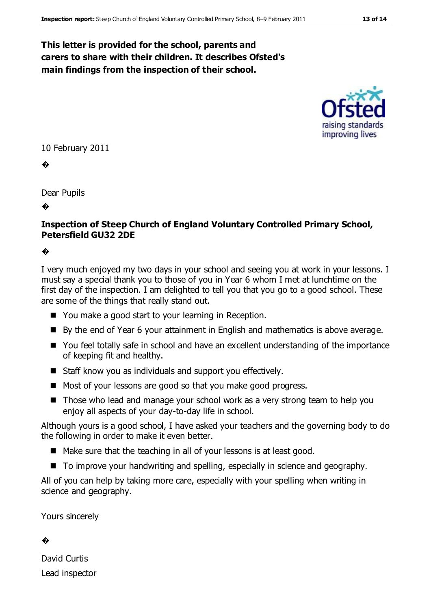#### **This letter is provided for the school, parents and carers to share with their children. It describes Ofsted's main findings from the inspection of their school.**



10 February 2011

�

Dear Pupils

�

#### **Inspection of Steep Church of England Voluntary Controlled Primary School, Petersfield GU32 2DE**

#### �

I very much enjoyed my two days in your school and seeing you at work in your lessons. I must say a special thank you to those of you in Year 6 whom I met at lunchtime on the first day of the inspection. I am delighted to tell you that you go to a good school. These are some of the things that really stand out.

- You make a good start to your learning in Reception.
- By the end of Year 6 your attainment in English and mathematics is above average.
- You feel totally safe in school and have an excellent understanding of the importance of keeping fit and healthy.
- Staff know you as individuals and support you effectively.
- Most of your lessons are good so that you make good progress.
- Those who lead and manage your school work as a very strong team to help you enjoy all aspects of your day-to-day life in school.

Although yours is a good school, I have asked your teachers and the governing body to do the following in order to make it even better.

- Make sure that the teaching in all of your lessons is at least good.
- To improve your handwriting and spelling, especially in science and geography.

All of you can help by taking more care, especially with your spelling when writing in science and geography.

Yours sincerely

#### �

David Curtis Lead inspector